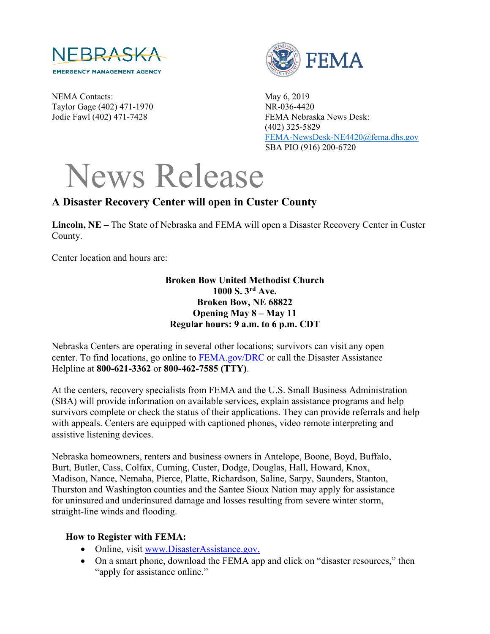

NEMA Contacts: May 6, 2019 Taylor Gage (402) 471-1970 NR-036-4420



Jodie Fawl (402) 471-7428 FEMA Nebraska News Desk: (402) 325-5829 [FEMA-NewsDesk-NE4420@fema.dhs.gov](mailto:FEMA-NewsDesk-NE4420@fema.dhs.gov) SBA PIO (916) 200-6720

## News Release

## **A Disaster Recovery Center will open in Custer County**

**Lincoln, NE –** The State of Nebraska and FEMA will open a Disaster Recovery Center in Custer County.

Center location and hours are:

## **Broken Bow United Methodist Church 1000 S. 3rd Ave. Broken Bow, NE 68822 Opening May 8 – May 11 Regular hours: 9 a.m. to 6 p.m. CDT**

Nebraska Centers are operating in several other locations; survivors can visit any open center. To find locations, go online to [FEMA.gov/DRC](http://www.fema.gov/DRC) or call the Disaster Assistance Helpline at **800-621-3362** or **800-462-7585 (TTY)**.

At the centers, recovery specialists from FEMA and the U.S. Small Business Administration (SBA) will provide information on available services, explain assistance programs and help survivors complete or check the status of their applications. They can provide referrals and help with appeals. Centers are equipped with captioned phones, video remote interpreting and assistive listening devices.

Nebraska homeowners, renters and business owners in Antelope, Boone, Boyd, Buffalo, Burt, Butler, Cass, Colfax, Cuming, Custer, Dodge, Douglas, Hall, Howard, Knox, Madison, Nance, Nemaha, Pierce, Platte, Richardson, Saline, Sarpy, Saunders, Stanton, Thurston and Washington counties and the Santee Sioux Nation may apply for assistance for uninsured and underinsured damage and losses resulting from severe winter storm, straight-line winds and flooding.

## **How to Register with FEMA:**

- Online, visit [www.DisasterAssistance.gov.](http://www.disasterassistance.gov/)
- On a smart phone, download the FEMA app and click on "disaster resources," then "apply for assistance online."